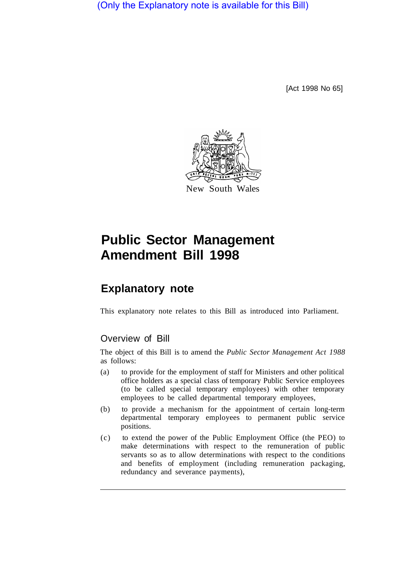(Only the Explanatory note is available for this Bill)

[Act 1998 No 65]



# **Public Sector Management Amendment Bill 1998**

## **Explanatory note**

This explanatory note relates to this Bill as introduced into Parliament.

## Overview of Bill

The object of this Bill is to amend the *Public Sector Management Act 1988*  as follows:

- (a) to provide for the employment of staff for Ministers and other political office holders as a special class of temporary Public Service employees (to be called special temporary employees) with other temporary employees to be called departmental temporary employees,
- (b) to provide a mechanism for the appointment of certain long-term departmental temporary employees to permanent public service positions.
- (c) to extend the power of the Public Employment Office (the PEO) to make determinations with respect to the remuneration of public servants so as to allow determinations with respect to the conditions and benefits of employment (including remuneration packaging, redundancy and severance payments),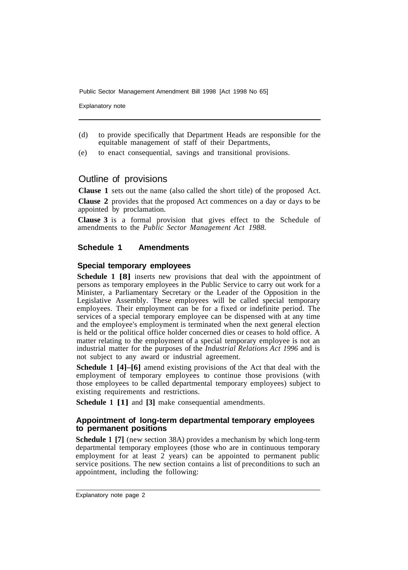Public Sector Management Amendment Bill 1998 [Act 1998 No 65]

Explanatory note

- (d) to provide specifically that Department Heads are responsible for the equitable management of staff of their Departments,
- (e) to enact consequential, savings and transitional provisions.

### Outline of provisions

**Clause 1** sets out the name (also called the short title) of the proposed Act.

**Clause 2** provides that the proposed Act commences on a day or days to be appointed by proclamation.

**Clause 3** is a formal provision that gives effect to the Schedule of amendments to the *Public Sector Management Act 1988.* 

#### **Schedule 1 Amendments**

#### **Special temporary employees**

**Schedule 1 [8]** inserts new provisions that deal with the appointment of persons as temporary employees in the Public Service to carry out work for a Minister, a Parliamentary Secretary or the Leader of the Opposition in the Legislative Assembly. These employees will be called special temporary employees. Their employment can be for a fixed or indefinite period. The services of a special temporary employee can be dispensed with at any time and the employee's employment is terminated when the next general election is held or the political office holder concerned dies or ceases to hold office. A matter relating to the employment of a special temporary employee is not an industrial matter for the purposes of the *Industrial Relations Act 1996* and is not subject to any award or industrial agreement.

**Schedule 1 [4]–[6]** amend existing provisions of the Act that deal with the employment of temporary employees to continue those provisions (with those employees to be called departmental temporary employees) subject to existing requirements and restrictions.

**Schedule 1 [1]** and **[3]** make consequential amendments.

#### **Appointment of long-term departmental temporary employees to permanent positions**

**Schedule 1 [7]** (new section 38A) provides a mechanism by which long-term departmental temporary employees (those who are in continuous temporary employment for at least 2 years) can be appointed to permanent public service positions. The new section contains a list of preconditions to such an appointment, including the following: